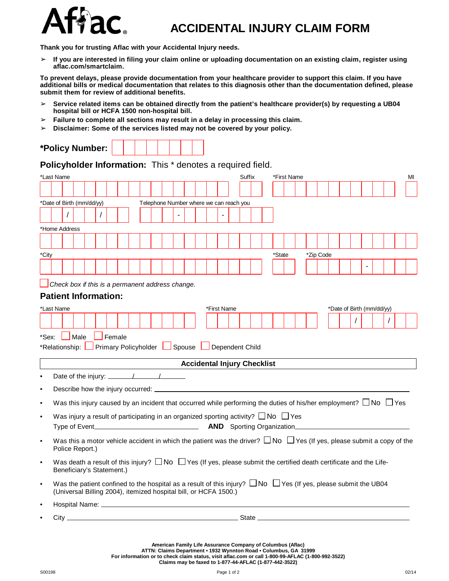

## **ACCIDENTAL INJURY CLAIM FORM**

**Thank you for trusting Aflac with your Accidental Injury needs.**

 $>$  If you are interested in filing your claim online or uploading documentation on an existing claim, register using **aflac.com/smartclaim.**

To prevent delays, please provide documentation from your healthcare provider to support this claim. If you have additional bills or medical documentation that relates to this diagnosis other than the documentation defined, please **submit them for review of additional benefits.**

- ➢ **Service related items can be obtained directly from the patient's healthcare provider(s) by requesting a UB04 hospital bill or HCFA 1500 non-hospital bill.**
- ➢ **Failure to complete all sections may result in a delay in processing this claim.**
- ➢ **Disclaimer: Some of the services listed may not be covered by your policy.**

| <b>Policy Number: I</b> |
|-------------------------|
|-------------------------|

**Policyholder Information:** This \* denotes a required field.

| *Last Name                                                     |  |            |                            |  |          |               |  |  | <b>Suffix</b><br>*First Name                                                                             |  |                                                                                                                                                                                               |  |             |  |  |  |        |  | МI |  |           |  |  |                           |  |                                                                                                                                  |  |
|----------------------------------------------------------------|--|------------|----------------------------|--|----------|---------------|--|--|----------------------------------------------------------------------------------------------------------|--|-----------------------------------------------------------------------------------------------------------------------------------------------------------------------------------------------|--|-------------|--|--|--|--------|--|----|--|-----------|--|--|---------------------------|--|----------------------------------------------------------------------------------------------------------------------------------|--|
|                                                                |  |            |                            |  |          |               |  |  |                                                                                                          |  |                                                                                                                                                                                               |  |             |  |  |  |        |  |    |  |           |  |  |                           |  |                                                                                                                                  |  |
| *Date of Birth (mm/dd/yy)                                      |  |            |                            |  |          |               |  |  |                                                                                                          |  | Telephone Number where we can reach you                                                                                                                                                       |  |             |  |  |  |        |  |    |  |           |  |  |                           |  |                                                                                                                                  |  |
|                                                                |  | $\sqrt{ }$ |                            |  | $\prime$ |               |  |  |                                                                                                          |  |                                                                                                                                                                                               |  |             |  |  |  |        |  |    |  |           |  |  |                           |  |                                                                                                                                  |  |
|                                                                |  |            |                            |  |          |               |  |  |                                                                                                          |  |                                                                                                                                                                                               |  |             |  |  |  |        |  |    |  |           |  |  |                           |  |                                                                                                                                  |  |
| *Home Address                                                  |  |            |                            |  |          |               |  |  |                                                                                                          |  |                                                                                                                                                                                               |  |             |  |  |  |        |  |    |  |           |  |  |                           |  |                                                                                                                                  |  |
|                                                                |  |            |                            |  |          |               |  |  |                                                                                                          |  |                                                                                                                                                                                               |  |             |  |  |  |        |  |    |  |           |  |  |                           |  |                                                                                                                                  |  |
| *City                                                          |  |            |                            |  |          |               |  |  |                                                                                                          |  |                                                                                                                                                                                               |  |             |  |  |  | *State |  |    |  | *Zip Code |  |  |                           |  |                                                                                                                                  |  |
|                                                                |  |            |                            |  |          |               |  |  |                                                                                                          |  |                                                                                                                                                                                               |  |             |  |  |  |        |  |    |  |           |  |  |                           |  |                                                                                                                                  |  |
|                                                                |  |            |                            |  |          |               |  |  |                                                                                                          |  |                                                                                                                                                                                               |  |             |  |  |  |        |  |    |  |           |  |  |                           |  |                                                                                                                                  |  |
|                                                                |  |            |                            |  |          |               |  |  |                                                                                                          |  | $\Box$ Check box if this is a permanent address change.                                                                                                                                       |  |             |  |  |  |        |  |    |  |           |  |  |                           |  |                                                                                                                                  |  |
| <b>Patient Information:</b>                                    |  |            |                            |  |          |               |  |  |                                                                                                          |  |                                                                                                                                                                                               |  |             |  |  |  |        |  |    |  |           |  |  |                           |  |                                                                                                                                  |  |
| *Last Name                                                     |  |            |                            |  |          |               |  |  |                                                                                                          |  |                                                                                                                                                                                               |  | *First Name |  |  |  |        |  |    |  |           |  |  | *Date of Birth (mm/dd/yy) |  |                                                                                                                                  |  |
|                                                                |  |            |                            |  |          |               |  |  |                                                                                                          |  |                                                                                                                                                                                               |  |             |  |  |  |        |  |    |  |           |  |  | $\prime$                  |  | $\prime$                                                                                                                         |  |
|                                                                |  |            |                            |  |          |               |  |  |                                                                                                          |  |                                                                                                                                                                                               |  |             |  |  |  |        |  |    |  |           |  |  |                           |  |                                                                                                                                  |  |
| *Sex:                                                          |  |            | $\mathsf{\mathsf{I}}$ Male |  |          | $\Box$ Female |  |  |                                                                                                          |  |                                                                                                                                                                                               |  |             |  |  |  |        |  |    |  |           |  |  |                           |  |                                                                                                                                  |  |
| *Relationship: Primary Policyholder   Spouse   Dependent Child |  |            |                            |  |          |               |  |  |                                                                                                          |  |                                                                                                                                                                                               |  |             |  |  |  |        |  |    |  |           |  |  |                           |  |                                                                                                                                  |  |
|                                                                |  |            |                            |  |          |               |  |  |                                                                                                          |  | <b>Accidental Injury Checklist</b>                                                                                                                                                            |  |             |  |  |  |        |  |    |  |           |  |  |                           |  |                                                                                                                                  |  |
| $\bullet$                                                      |  |            |                            |  |          |               |  |  | Date of the injury: $\frac{1}{\sqrt{1-\frac{1}{2}}}\left\vert \frac{1}{\sqrt{1-\frac{1}{2}}}\right\vert$ |  |                                                                                                                                                                                               |  |             |  |  |  |        |  |    |  |           |  |  |                           |  |                                                                                                                                  |  |
|                                                                |  |            |                            |  |          |               |  |  |                                                                                                          |  |                                                                                                                                                                                               |  |             |  |  |  |        |  |    |  |           |  |  |                           |  |                                                                                                                                  |  |
| $\bullet$                                                      |  |            |                            |  |          |               |  |  |                                                                                                          |  |                                                                                                                                                                                               |  |             |  |  |  |        |  |    |  |           |  |  |                           |  |                                                                                                                                  |  |
| $\bullet$                                                      |  |            |                            |  |          |               |  |  |                                                                                                          |  |                                                                                                                                                                                               |  |             |  |  |  |        |  |    |  |           |  |  |                           |  | Was this injury caused by an incident that occurred while performing the duties of his/her employment? $\Box$ No $\Box$ Yes      |  |
| $\bullet$                                                      |  |            |                            |  |          |               |  |  |                                                                                                          |  | Was injury a result of participating in an organized sporting activity? $\Box$ No $\Box$ Yes                                                                                                  |  |             |  |  |  |        |  |    |  |           |  |  |                           |  |                                                                                                                                  |  |
|                                                                |  |            |                            |  |          |               |  |  |                                                                                                          |  |                                                                                                                                                                                               |  |             |  |  |  |        |  |    |  |           |  |  |                           |  |                                                                                                                                  |  |
| $\bullet$                                                      |  |            | Police Report.)            |  |          |               |  |  |                                                                                                          |  |                                                                                                                                                                                               |  |             |  |  |  |        |  |    |  |           |  |  |                           |  | Was this a motor vehicle accident in which the patient was the driver? $\Box$ No $\Box$ Yes (If yes, please submit a copy of the |  |
| $\bullet$                                                      |  |            | Beneficiary's Statement.)  |  |          |               |  |  |                                                                                                          |  | Was death a result of this injury? $\Box$ No $\Box$ Yes (If yes, please submit the certified death certificate and the Life-                                                                  |  |             |  |  |  |        |  |    |  |           |  |  |                           |  |                                                                                                                                  |  |
| $\bullet$                                                      |  |            |                            |  |          |               |  |  |                                                                                                          |  | Was the patient confined to the hospital as a result of this injury? $\Box$ No $\Box$ Yes (If yes, please submit the UB04<br>(Universal Billing 2004), itemized hospital bill, or HCFA 1500.) |  |             |  |  |  |        |  |    |  |           |  |  |                           |  |                                                                                                                                  |  |
| $\bullet$                                                      |  |            |                            |  |          |               |  |  |                                                                                                          |  |                                                                                                                                                                                               |  |             |  |  |  |        |  |    |  |           |  |  |                           |  |                                                                                                                                  |  |
| $\bullet$                                                      |  |            |                            |  |          |               |  |  |                                                                                                          |  |                                                                                                                                                                                               |  |             |  |  |  |        |  |    |  |           |  |  |                           |  |                                                                                                                                  |  |
|                                                                |  |            |                            |  |          |               |  |  |                                                                                                          |  |                                                                                                                                                                                               |  |             |  |  |  |        |  |    |  |           |  |  |                           |  |                                                                                                                                  |  |

American Family Life Assurance Company of Columbus (Aflac)<br>ATTN: Claims Department • 1932 Wynnton Road • Columbus, GA 31999<br>For information or to check claim status, visit aflac.com or call 1-800-99-AFLAC (1-800-992-3522) **Claims may be faxed to 1-877-44-AFLAC (1-877-442-3522)**